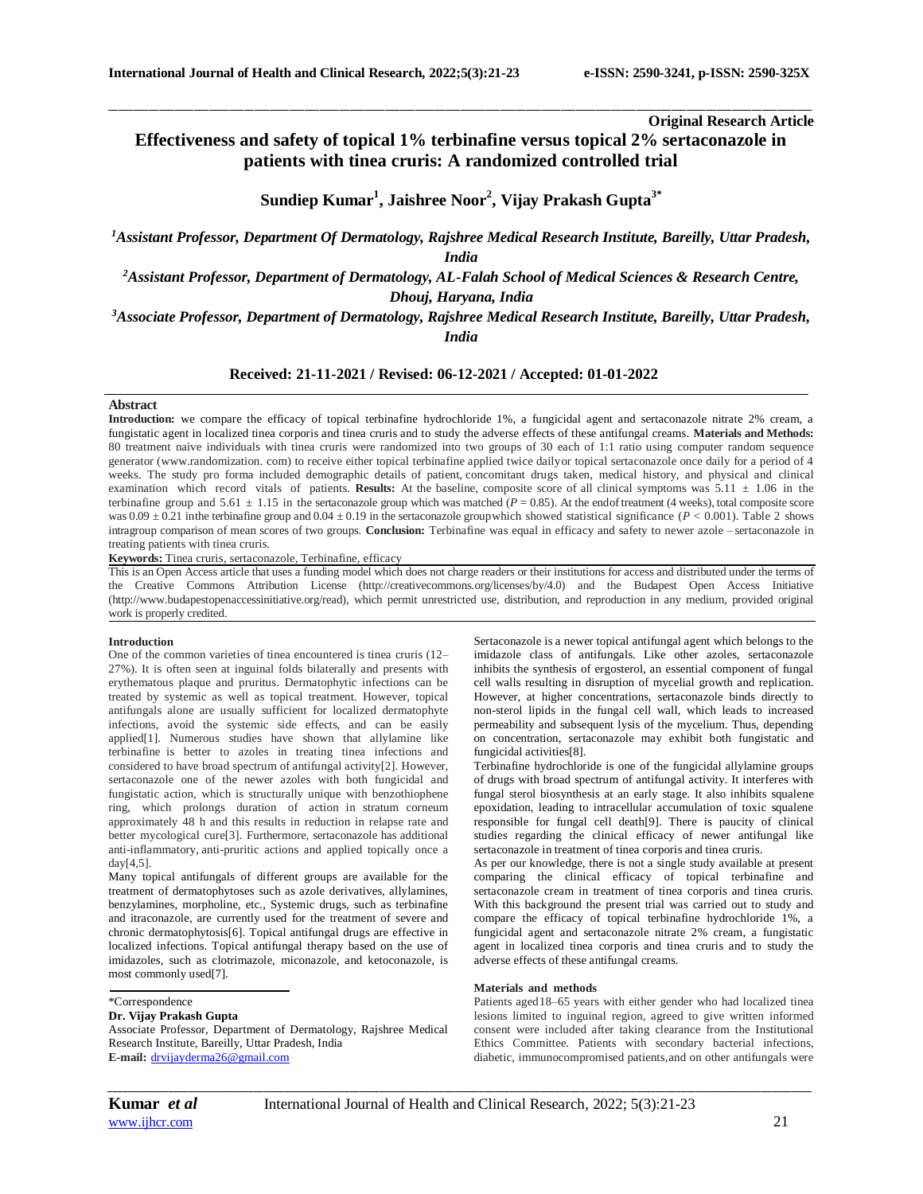**Original Research Article**

# **Effectiveness and safety of topical 1% terbinafine versus topical 2% sertaconazole in patients with tinea cruris: A randomized controlled trial**

\_\_\_\_\_\_\_\_\_\_\_\_\_\_\_\_\_\_\_\_\_\_\_\_\_\_\_\_\_\_\_\_\_\_\_\_\_\_\_\_\_\_\_\_\_\_\_\_\_\_\_\_\_\_\_\_\_\_\_\_\_\_\_\_\_\_\_\_\_\_\_\_\_\_\_\_\_\_\_\_\_\_\_\_\_\_\_\_\_\_\_\_\_\_\_\_\_\_\_\_\_\_\_\_\_\_\_\_\_\_\_\_\_\_\_\_\_\_\_\_\_\_\_\_\_\_\_\_\_\_\_\_\_\_\_\_\_\_\_\_

**Sundiep Kumar<sup>1</sup> , Jaishree Noor<sup>2</sup> , Vijay Prakash Gupta3\***

*<sup>1</sup>Assistant Professor, Department Of Dermatology, Rajshree Medical Research Institute, Bareilly, Uttar Pradesh, India*

*<sup>2</sup>Assistant Professor, Department of Dermatology, AL-Falah School of Medical Sciences & Research Centre, Dhouj, Haryana, India*

*<sup>3</sup>Associate Professor, Department of Dermatology, Rajshree Medical Research Institute, Bareilly, Uttar Pradesh, India*

**Received: 21-11-2021 / Revised: 06-12-2021 / Accepted: 01-01-2022**

## **Abstract**

**Introduction:** we compare the efficacy of topical terbinafine hydrochloride 1%, a fungicidal agent and sertaconazole nitrate 2% cream, a fungistatic agent in localized tinea corporis and tinea cruris and to study the adverse effects of these antifungal creams. **Materials and Methods:** 80 treatment naive individuals with tinea cruris were randomized into two groups of 30 each of 1:1 ratio using computer random sequence generator (www.randomization. com) to receive either topical terbinafine applied twice dailyor topical sertaconazole once daily for a period of 4 weeks. The study pro forma included demographic details of patient, concomitant drugs taken, medical history, and physical and clinical examination which record vitals of patients. **Results:** At the baseline, composite score of all clinical symptoms was 5.11 ± 1.06 in the terbinafine group and  $5.61 \pm 1.15$  in the sertaconazole group which was matched ( $P = 0.85$ ). At the endof treatment (4 weeks), total composite score was  $0.09 \pm 0.21$  inthe terbinafine group and  $0.04 \pm 0.19$  in the sertaconazole group which showed statistical significance ( $P < 0.001$ ). Table 2 shows intragroup comparison of mean scores of two groups. **Conclusion:** Terbinafine was equal in efficacy and safety to newer azole – sertaconazole in treating patients with tinea cruris.

**Keywords:** Tinea cruris, sertaconazole, Terbinafine, efficacy

This is an Open Access article that uses a funding model which does not charge readers or their institutions for access and distributed under the terms of the Creative Commons Attribution License (http://creativecommons.org/licenses/by/4.0) and the Budapest Open Access Initiative (http://www.budapestopenaccessinitiative.org/read), which permit unrestricted use, distribution, and reproduction in any medium, provided original work is properly credited.

# **Introduction**

One of the common varieties of tinea encountered is tinea cruris (12– 27%). It is often seen at inguinal folds bilaterally and presents with erythematous plaque and pruritus. Dermatophytic infections can be treated by systemic as well as topical treatment. However, topical antifungals alone are usually sufficient for localized dermatophyte infections, avoid the systemic side effects, and can be easily applied[1]. Numerous studies have shown that allylamine like terbinafine is better to azoles in treating tinea infections and considered to have broad spectrum of antifungal activity[2]. However, sertaconazole one of the newer azoles with both fungicidal and fungistatic action, which is structurally unique with benzothiophene ring, which prolongs duration of action in stratum corneum approximately 48 h and this results in reduction in relapse rate and better mycological cure[3]. Furthermore, sertaconazole has additional anti-inflammatory, anti-pruritic actions and applied topically once a day[4,5].

Many topical antifungals of different groups are available for the treatment of dermatophytoses such as azole derivatives, allylamines, benzylamines, morpholine, etc., Systemic drugs, such as terbinafine and itraconazole, are currently used for the treatment of severe and chronic dermatophytosis[6]. Topical antifungal drugs are effective in localized infections. Topical antifungal therapy based on the use of imidazoles, such as clotrimazole, miconazole, and ketoconazole, is most commonly used[7].

## \*Correspondence

## **Dr. Vijay Prakash Gupta**

Associate Professor, Department of Dermatology, Rajshree Medical Research Institute, Bareilly, Uttar Pradesh, India **E-mail:** [drvijayderma26@gmail.com](mailto:drvijayderma26@gmail.com)

Sertaconazole is a newer topical antifungal agent which belongs to the imidazole class of antifungals. Like other azoles, sertaconazole inhibits the synthesis of ergosterol, an essential component of fungal cell walls resulting in disruption of mycelial growth and replication. However, at higher concentrations, sertaconazole binds directly to non-sterol lipids in the fungal cell wall, which leads to increased permeability and subsequent lysis of the mycelium. Thus, depending on concentration, sertaconazole may exhibit both fungistatic and fungicidal activities[8].

Terbinafine hydrochloride is one of the fungicidal allylamine groups of drugs with broad spectrum of antifungal activity. It interferes with fungal sterol biosynthesis at an early stage. It also inhibits squalene epoxidation, leading to intracellular accumulation of toxic squalene responsible for fungal cell death[9]. There is paucity of clinical studies regarding the clinical efficacy of newer antifungal like sertaconazole in treatment of tinea corporis and tinea cruris.

As per our knowledge, there is not a single study available at present comparing the clinical efficacy of topical terbinafine and sertaconazole cream in treatment of tinea corporis and tinea cruris. With this background the present trial was carried out to study and compare the efficacy of topical terbinafine hydrochloride 1%, a fungicidal agent and sertaconazole nitrate 2% cream, a fungistatic agent in localized tinea corporis and tinea cruris and to study the adverse effects of these antifungal creams.

#### **Materials and methods**

Patients aged18–65 years with either gender who had localized tinea lesions limited to inguinal region, agreed to give written informed consent were included after taking clearance from the Institutional Ethics Committee. Patients with secondary bacterial infections, diabetic, immunocompromised patients,and on other antifungals were

*\_\_\_\_\_\_\_\_\_\_\_\_\_\_\_\_\_\_\_\_\_\_\_\_\_\_\_\_\_\_\_\_\_\_\_\_\_\_\_\_\_\_\_\_\_\_\_\_\_\_\_\_\_\_\_\_\_\_\_\_\_\_\_\_\_\_\_\_\_\_\_\_\_\_\_\_\_\_\_\_\_\_\_\_\_\_\_\_\_\_\_\_\_\_\_\_\_\_\_\_\_\_\_\_\_\_\_\_\_\_\_\_\_\_\_\_\_\_\_\_\_\_\_\_\_\_\_\_\_\_\_\_\_\_\_\_\_\_\_\_*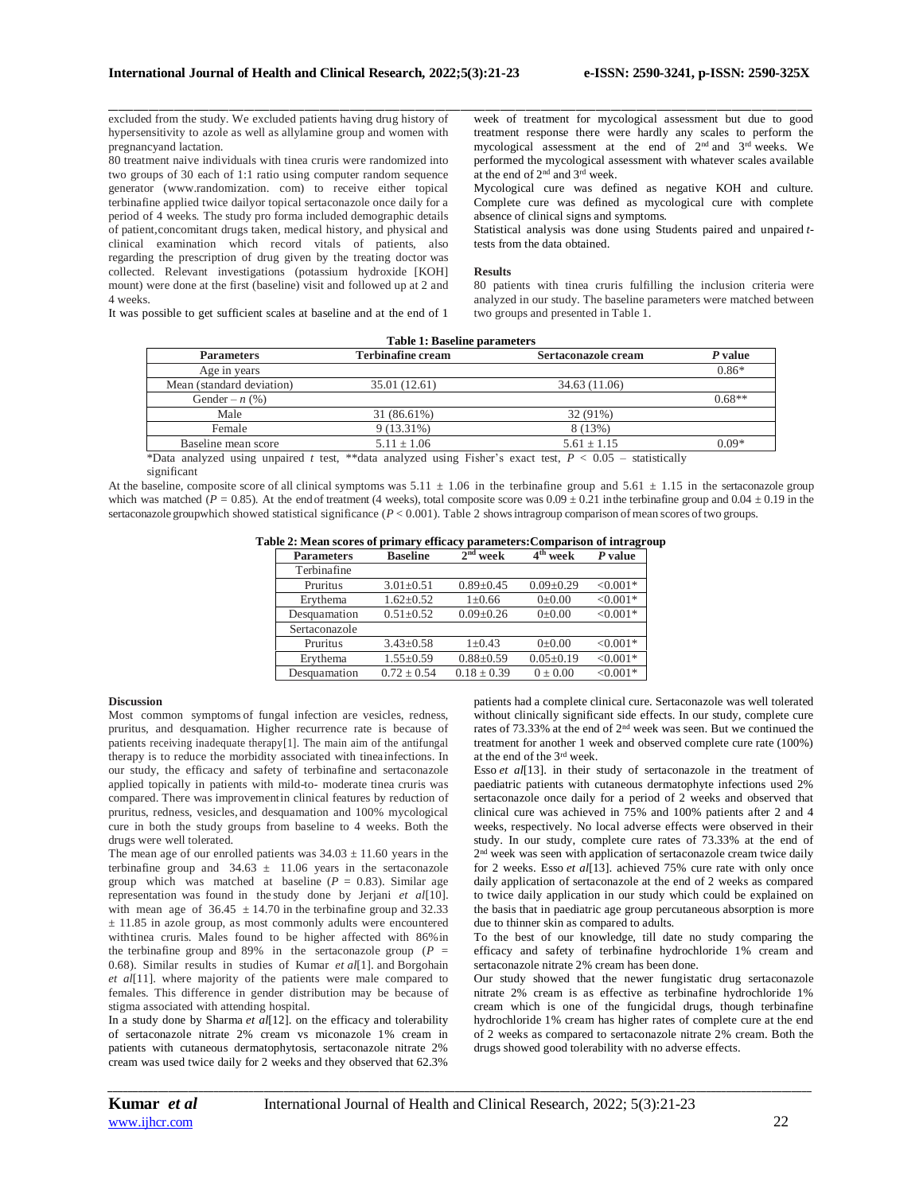excluded from the study. We excluded patients having drug history of hypersensitivity to azole as well as allylamine group and women with pregnancyand lactation.

80 treatment naive individuals with tinea cruris were randomized into two groups of 30 each of 1:1 ratio using computer random sequence generator (www.randomization. com) to receive either topical terbinafine applied twice dailyor topical sertaconazole once daily for a period of 4 weeks. The study pro forma included demographic details of patient,concomitant drugs taken, medical history, and physical and clinical examination which record vitals of patients, also regarding the prescription of drug given by the treating doctor was collected. Relevant investigations (potassium hydroxide [KOH] mount) were done at the first (baseline) visit and followed up at 2 and 4 weeks.

\_\_\_\_\_\_\_\_\_\_\_\_\_\_\_\_\_\_\_\_\_\_\_\_\_\_\_\_\_\_\_\_\_\_\_\_\_\_\_\_\_\_\_\_\_\_\_\_\_\_\_\_\_\_\_\_\_\_\_\_\_\_\_\_\_\_\_\_\_\_\_\_\_\_\_\_\_\_\_\_\_\_\_\_\_\_\_\_\_\_\_\_\_\_\_\_\_\_\_\_\_\_\_\_\_\_\_\_\_\_\_\_\_\_\_\_\_\_\_\_\_\_\_\_\_\_\_\_\_\_\_\_\_\_\_\_\_\_\_\_ week of treatment for mycological assessment but due to good treatment response there were hardly any scales to perform the mycological assessment at the end of 2nd and 3rd weeks. We performed the mycological assessment with whatever scales available at the end of 2nd and 3rd week.

> Mycological cure was defined as negative KOH and culture. Complete cure was defined as mycological cure with complete absence of clinical signs and symptoms.

> Statistical analysis was done using Students paired and unpaired *t*tests from the data obtained.

#### **Results**

80 patients with tinea cruris fulfilling the inclusion criteria were analyzed in our study. The baseline parameters were matched between two groups and presented in Table 1.

It was possible to get sufficient scales at baseline and at the end of 1

| <b>Table 1: Baseline parameters</b> |                          |                     |          |  |  |  |
|-------------------------------------|--------------------------|---------------------|----------|--|--|--|
| <b>Parameters</b>                   | <b>Terbinafine cream</b> | Sertaconazole cream | P value  |  |  |  |
| Age in years                        |                          |                     | $0.86*$  |  |  |  |
| Mean (standard deviation)           | 35.01 (12.61)            | 34.63 (11.06)       |          |  |  |  |
| Gender – $n$ (%)                    |                          |                     | $0.68**$ |  |  |  |
| Male                                | 31 (86.61%)              | 32 (91%)            |          |  |  |  |
| Female                              | $9(13.31\%)$             | 8 (13%)             |          |  |  |  |
| Baseline mean score                 | $5.11 \pm 1.06$          | $5.61 \pm 1.15$     | $0.09*$  |  |  |  |

\*Data analyzed using unpaired *t* test, \*\*data analyzed using Fisher's exact test, *P* < 0.05 – statistically significant

At the baseline, composite score of all clinical symptoms was  $5.11 \pm 1.06$  in the terbinafine group and  $5.61 \pm 1.15$  in the sertaconazole group which was matched ( $P = 0.85$ ). At the endof treatment (4 weeks), total composite score was  $0.09 \pm 0.21$  in the terbinafine group and  $0.04 \pm 0.19$  in the sertaconazole groupwhich showed statistical significance (*P* < 0.001). Table 2 showsintragroup comparison of mean scores oftwo groups.

| Table 2: Mean scores of primary efficacy parameters:Comparison of intragroup |  |  |
|------------------------------------------------------------------------------|--|--|
|                                                                              |  |  |

| <b>Parameters</b> | <b>Baseline</b> | $2nd$ week      | 4 <sup>th</sup> week | P value    |
|-------------------|-----------------|-----------------|----------------------|------------|
| Terbinafine       |                 |                 |                      |            |
| Pruritus          | $3.01 \pm 0.51$ | $0.89 + 0.45$   | $0.09 \pm 0.29$      | $< 0.001*$ |
| Erythema          | $1.62 \pm 0.52$ | $1 \pm 0.66$    | $0 \pm 0.00$         | $< 0.001*$ |
| Desquamation      | $0.51 \pm 0.52$ | $0.09 \pm 0.26$ | $0 \pm 0.00$         | $< 0.001*$ |
| Sertaconazole     |                 |                 |                      |            |
| Pruritus          | $3.43 \pm 0.58$ | $1+0.43$        | $0 \pm 0.00$         | $< 0.001*$ |
| Erythema          | $1.55 \pm 0.59$ | $0.88 \pm 0.59$ | $0.05 \pm 0.19$      | $< 0.001*$ |
| Desquamation      | $0.72 \pm 0.54$ | $0.18 \pm 0.39$ | $0 \pm 0.00$         | $< 0.001*$ |

## **Discussion**

Most common symptoms of fungal infection are vesicles, redness, pruritus, and desquamation. Higher recurrence rate is because of patients receiving inadequate therapy[1]. The main aim of the antifungal therapy is to reduce the morbidity associated with tineainfections. In our study, the efficacy and safety of terbinafine and sertaconazole applied topically in patients with mild-to- moderate tinea cruris was compared. There was improvementin clinical features by reduction of pruritus, redness, vesicles, and desquamation and 100% mycological cure in both the study groups from baseline to 4 weeks. Both the drugs were well tolerated.

The mean age of our enrolled patients was  $34.03 \pm 11.60$  years in the terbinafine group and  $34.63 \pm 11.06$  years in the sertaconazole group which was matched at baseline  $(P = 0.83)$ . Similar age representation was found in the study done by Jerjani *et al*[10]. with mean age of  $36.45 \pm 14.70$  in the terbinafine group and 32.33  $±$  11.85 in azole group, as most commonly adults were encountered withtinea cruris. Males found to be higher affected with 86%in the terbinafine group and 89% in the sertaconazole group  $(P =$ 0.68). Similar results in studies of Kumar *et al*[1]. and Borgohain *et al*[11]. where majority of the patients were male compared to females. This difference in gender distribution may be because of stigma associated with attending hospital.

In a study done by Sharma *et al*[12]. on the efficacy and tolerability of sertaconazole nitrate 2% cream vs miconazole 1% cream in patients with cutaneous dermatophytosis, sertaconazole nitrate 2% cream was used twice daily for 2 weeks and they observed that 62.3%

patients had a complete clinical cure. Sertaconazole was well tolerated without clinically significant side effects. In our study, complete cure rates of 73.33% at the end of 2nd week was seen. But we continued the treatment for another 1 week and observed complete cure rate (100%) at the end of the 3rd week.

Esso *et al*[13]. in their study of sertaconazole in the treatment of paediatric patients with cutaneous dermatophyte infections used 2% sertaconazole once daily for a period of 2 weeks and observed that clinical cure was achieved in 75% and 100% patients after 2 and 4 weeks, respectively. No local adverse effects were observed in their study. In our study, complete cure rates of 73.33% at the end of 2 nd week was seen with application of sertaconazole cream twice daily for 2 weeks. Esso *et al*[13]. achieved 75% cure rate with only once daily application of sertaconazole at the end of 2 weeks as compared to twice daily application in our study which could be explained on the basis that in paediatric age group percutaneous absorption is more due to thinner skin as compared to adults.

To the best of our knowledge, till date no study comparing the efficacy and safety of terbinafine hydrochloride 1% cream and sertaconazole nitrate 2% cream has been done.

Our study showed that the newer fungistatic drug sertaconazole nitrate 2% cream is as effective as terbinafine hydrochloride 1% cream which is one of the fungicidal drugs, though terbinafine hydrochloride 1% cream has higher rates of complete cure at the end of 2 weeks as compared to sertaconazole nitrate 2% cream. Both the drugs showed good tolerability with no adverse effects.

*\_\_\_\_\_\_\_\_\_\_\_\_\_\_\_\_\_\_\_\_\_\_\_\_\_\_\_\_\_\_\_\_\_\_\_\_\_\_\_\_\_\_\_\_\_\_\_\_\_\_\_\_\_\_\_\_\_\_\_\_\_\_\_\_\_\_\_\_\_\_\_\_\_\_\_\_\_\_\_\_\_\_\_\_\_\_\_\_\_\_\_\_\_\_\_\_\_\_\_\_\_\_\_\_\_\_\_\_\_\_\_\_\_\_\_\_\_\_\_\_\_\_\_\_\_\_\_\_\_\_\_\_\_\_\_\_\_\_\_\_*